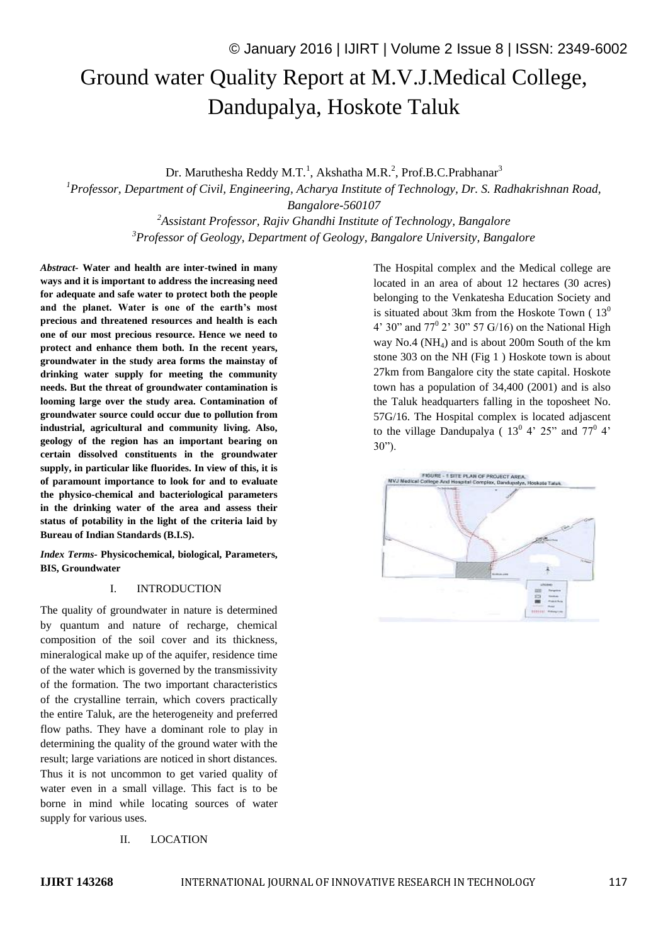# Ground water Quality Report at M.V.J.Medical College, Dandupalya, Hoskote Taluk

Dr. Maruthesha Reddy M.T.<sup>1</sup>, Akshatha M.R.<sup>2</sup>, Prof.B.C.Prabhanar<sup>3</sup>

*<sup>1</sup>Professor, Department of Civil, Engineering, Acharya Institute of Technology, Dr. S. Radhakrishnan Road, Bangalore-560107*

> *<sup>2</sup>Assistant Professor, Rajiv Ghandhi Institute of Technology, Bangalore <sup>3</sup>Professor of Geology, Department of Geology, Bangalore University, Bangalore*

*Abstract-* **Water and health are inter-twined in many ways and it is important to address the increasing need for adequate and safe water to protect both the people and the planet. Water is one of the earth's most precious and threatened resources and health is each one of our most precious resource. Hence we need to protect and enhance them both. In the recent years, groundwater in the study area forms the mainstay of drinking water supply for meeting the community needs. But the threat of groundwater contamination is looming large over the study area. Contamination of groundwater source could occur due to pollution from industrial, agricultural and community living. Also, geology of the region has an important bearing on certain dissolved constituents in the groundwater supply, in particular like fluorides. In view of this, it is of paramount importance to look for and to evaluate the physico-chemical and bacteriological parameters in the drinking water of the area and assess their status of potability in the light of the criteria laid by Bureau of Indian Standards (B.I.S).**

*Index Terms-* **Physicochemical, biological, Parameters, BIS, Groundwater**

### I. INTRODUCTION

The quality of groundwater in nature is determined by quantum and nature of recharge, chemical composition of the soil cover and its thickness, mineralogical make up of the aquifer, residence time of the water which is governed by the transmissivity of the formation. The two important characteristics of the crystalline terrain, which covers practically the entire Taluk, are the heterogeneity and preferred flow paths. They have a dominant role to play in determining the quality of the ground water with the result; large variations are noticed in short distances. Thus it is not uncommon to get varied quality of water even in a small village. This fact is to be borne in mind while locating sources of water supply for various uses.

#### II. LOCATION

4' 30" and  $77^{\circ}$  2' 30" 57 G/16) on the National High way  $No.4$  ( $NH<sub>4</sub>$ ) and is about 200m South of the km stone 303 on the NH (Fig 1 ) Hoskote town is about 27km from Bangalore city the state capital. Hoskote town has a population of 34,400 (2001) and is also the Taluk headquarters falling in the toposheet No. 57G/16. The Hospital complex is located adjascent to the village Dandupalya ( $13^{\circ}$  4'  $25^{\circ}$  and  $77^{\circ}$  4' 30").FIGURE - 1 SITE PLAN OF PROJECT AREA<br>NVJ Nedical College And Hospital Complex Doctors Complex, Da iva, Hockate Tatus

The Hospital complex and the Medical college are located in an area of about 12 hectares (30 acres) belonging to the Venkatesha Education Society and is situated about 3km from the Hoskote Town  $(13<sup>0</sup>$ 

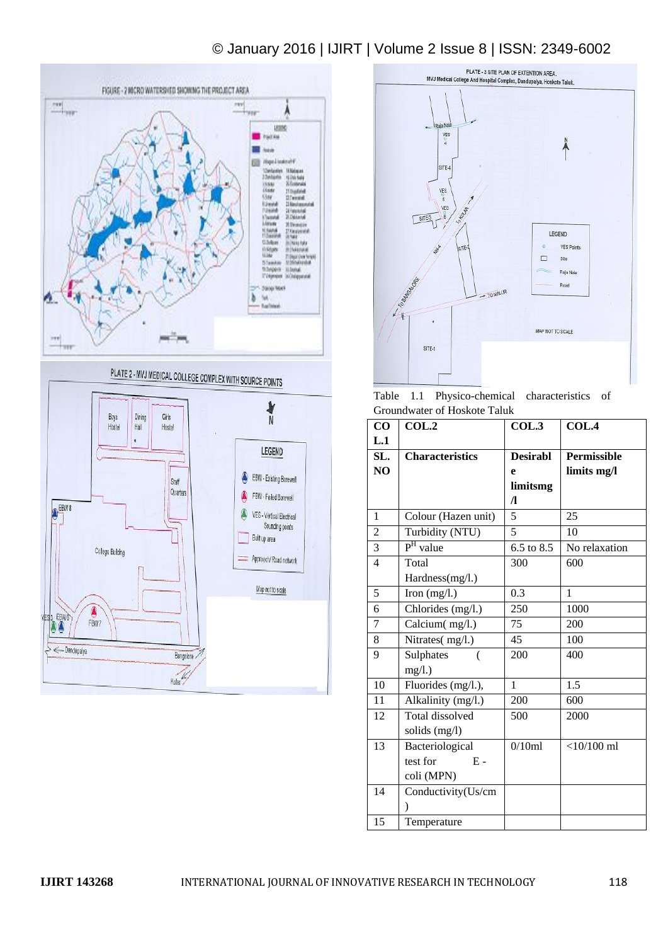# © January 2016 | IJIRT | Volume 2 Issue 8 | ISSN: 2349-6002





Table 1.1 Physico-chemical characteristics of Groundwater of Hoskote Taluk

| CO             | COL.2               | COL.3           | COL.4         |
|----------------|---------------------|-----------------|---------------|
| L.1            |                     |                 |               |
| SL.            | Characteristics     | <b>Desirabl</b> | Permissible   |
| NO             |                     | e               | limits mg/l   |
|                |                     | limitsmg        |               |
|                |                     | $\Lambda$       |               |
| 1              | Colour (Hazen unit) | $\overline{5}$  | 25            |
| $\overline{2}$ | Turbidity (NTU)     | 5               | 10            |
| 3              | $PH$ value          | 6.5 to 8.5      | No relaxation |
| 4              | Total               | 300             | 600           |
|                | Hardness(mg/l.)     |                 |               |
| 5              | Iron $(mg/l.)$      | 0.3             | 1             |
| 6              | Chlorides (mg/l.)   | 250             | 1000          |
| 7              | Calcium(mg/l.)      | 75              | 200           |
| 8              | Nitrates(mg/l.)     | 45              | 100           |
| 9              | Sulphates           | 200             | 400           |
|                | mg/l.)              |                 |               |
| 10             | Fluorides (mg/l.),  | $\mathbf{1}$    | 1.5           |
| 11             | Alkalinity (mg/l.)  | 200             | 600           |
| 12             | Total dissolved     | 500             | 2000          |
|                | solids (mg/l)       |                 |               |
| 13             | Bacteriological     | 0/10ml          | $<$ 10/100 ml |
|                | test for<br>$E -$   |                 |               |
|                | coli (MPN)          |                 |               |
| 14             | Conductivity(Us/cm  |                 |               |
|                | $\lambda$           |                 |               |
| 15             | Temperature         |                 |               |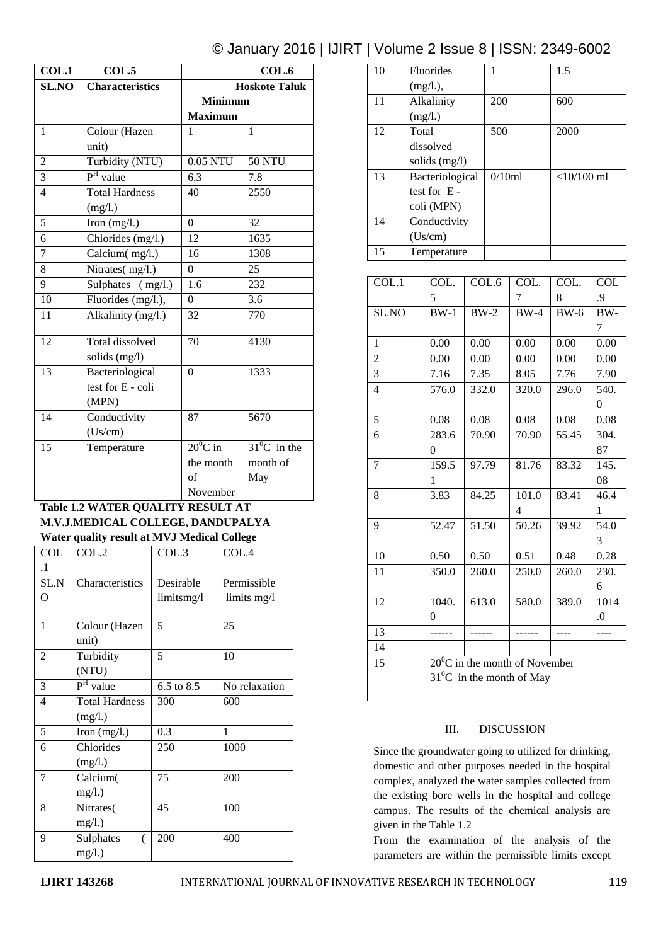## © January 2016 | IJIRT | Volume 2 Issue 8 | ISSN: 2349-6002

| COL.1          | COL.5                               | COL.6                |                 |
|----------------|-------------------------------------|----------------------|-----------------|
| <b>SL.NO</b>   | <b>Characteristics</b>              | <b>Hoskote Taluk</b> |                 |
|                |                                     | <b>Minimum</b>       |                 |
|                |                                     | <b>Maximum</b>       |                 |
| $\mathbf{1}$   | Colour (Hazen                       | $\mathbf{1}$         | $\mathbf{1}$    |
|                | unit)                               |                      |                 |
| $\overline{c}$ | Turbidity (NTU)                     | 0.05 NTU             | <b>50 NTU</b>   |
| $\overline{3}$ | $PH$ value                          | 6.3                  | 7.8             |
| $\overline{4}$ | <b>Total Hardness</b>               | 40                   | 2550            |
|                | (mg/l.)                             |                      |                 |
| $\overline{5}$ | Iron $(mg/l.)$                      | $\theta$             | 32              |
| 6              | Chlorides (mg/l.)                   | 12                   | 1635            |
| $\overline{7}$ | $\overline{\text{Calcium}}$ (mg/l.) | 16                   | 1308            |
| 8              | Nitrates(mg/l.)                     | $\theta$             | 25              |
| 9              | Sulphates (mg/l.)                   | 1.6                  | 232             |
| 10             | Fluorides (mg/l.),                  | $\overline{0}$       | 3.6             |
| 11             | Alkalinity (mg/l.)                  | 32                   | 770             |
| 12             | Total dissolved                     | 70                   | 4130            |
|                | solids (mg/l)                       |                      |                 |
| 13             | Bacteriological                     | $\theta$             | 1333            |
|                | test for E - coli                   |                      |                 |
|                | (MPN)                               |                      |                 |
| 14             | Conductivity                        | 87                   | 5670            |
|                | (Us/cm)                             |                      |                 |
| 15             | Temperature                         | $20^0$ C in          | $31^0$ C in the |
|                |                                     | the month            | month of        |
|                |                                     | of                   | May             |
|                |                                     | November             |                 |

#### **Table 1.2 WATER QUALITY RESULT AT M.V.J.MEDICAL COLLEGE, DANDUPALYA Water quality result at MVJ Medical College**

| aici quancy resurc<br>$\cdots$ |                       |            |               |  |  |
|--------------------------------|-----------------------|------------|---------------|--|--|
| <b>COL</b>                     | COL.2                 | COL.3      | COL.4         |  |  |
| $\cdot$                        |                       |            |               |  |  |
| SL.N                           | Characteristics       | Desirable  | Permissible   |  |  |
| O                              |                       | limitsmg/l | limits mg/l   |  |  |
|                                |                       |            |               |  |  |
| 1                              | Colour (Hazen         | 5          | 25            |  |  |
|                                | unit)                 |            |               |  |  |
| $\overline{c}$                 | Turbidity             | 5          | 10            |  |  |
|                                | (NTU)                 |            |               |  |  |
| 3                              | $PH$ value            | 6.5 to 8.5 | No relaxation |  |  |
| $\overline{4}$                 | <b>Total Hardness</b> | 300        | 600           |  |  |
|                                | (mg/l.)               |            |               |  |  |
| 5                              | Iron $(mg/l.)$        | 0.3        | 1             |  |  |
| 6                              | Chlorides             | 250        | 1000          |  |  |
|                                | (mg/l.)               |            |               |  |  |
| 7                              | Calcium(              | 75         | 200           |  |  |
|                                | mg/l.)                |            |               |  |  |
| 8                              | Nitrates(             | 45         | 100           |  |  |
|                                | mg/l.)                |            |               |  |  |
| 9                              | Sulphates<br>(        | 200        | 400           |  |  |
|                                | $mg/l.$ )             |            |               |  |  |

| 10 | <b>Fluorides</b> | 1      | 1.5          |
|----|------------------|--------|--------------|
|    | (mg/l.),         |        |              |
| 11 | Alkalinity       | 200    | 600          |
|    | (mg/l.)          |        |              |
| 12 | Total            | 500    | 2000         |
|    | dissolved        |        |              |
|    | solids (mg/l)    |        |              |
| 13 | Bacteriological  | 0/10ml | $<10/100$ ml |
|    | test for $E -$   |        |              |
|    | coli (MPN)       |        |              |
| 14 | Conductivity     |        |              |
|    | (Us/cm)          |        |              |
| 15 | Temperature      |        |              |

| COL.1          | COL.                                    | COL.6  | COL.           | COL.   | <b>COL</b> |
|----------------|-----------------------------------------|--------|----------------|--------|------------|
|                | 5                                       |        | 7              | 8      | .9         |
| SL.NO          | $BW-1$                                  | $BW-2$ | $BW-4$         | $BW-6$ | BW-        |
|                |                                         |        |                |        | 7          |
| 1              | 0.00                                    | 0.00   | 0.00           | 0.00   | 0.00       |
| $\overline{2}$ | 0.00                                    | 0.00   | 0.00           | 0.00   | 0.00       |
| $\overline{3}$ | 7.16                                    | 7.35   | 8.05           | 7.76   | 7.90       |
| $\overline{4}$ | 576.0                                   | 332.0  | 320.0          | 296.0  | 540.       |
|                |                                         |        |                |        | $\theta$   |
| 5              | 0.08                                    | 0.08   | 0.08           | 0.08   | 0.08       |
| 6              | 283.6                                   | 70.90  | 70.90          | 55.45  | 304.       |
|                | $\Omega$                                |        |                |        | 87         |
| 7              | 159.5                                   | 97.79  | 81.76          | 83.32  | 145.       |
|                | 1                                       |        |                |        | 08         |
| 8              | 3.83                                    | 84.25  | 101.0          | 83.41  | 46.4       |
|                |                                         |        | $\overline{4}$ |        | 1          |
| 9              | 52.47                                   | 51.50  | 50.26          | 39.92  | 54.0       |
|                |                                         |        |                |        | 3          |
| 10             | 0.50                                    | 0.50   | 0.51           | 0.48   | 0.28       |
| 11             | 350.0                                   | 260.0  | 250.0          | 260.0  | 230.       |
|                |                                         |        |                |        | 6          |
| 12             | 1040.                                   | 613.0  | 580.0          | 389.0  | 1014       |
|                | $\theta$                                |        |                |        | $\Omega$ . |
| 13             |                                         |        |                |        |            |
| 14             |                                         |        |                |        |            |
| 15             | $20^{\circ}$ C in the month of November |        |                |        |            |
|                | $31^0$ C in the month of May            |        |                |        |            |
|                |                                         |        |                |        |            |

#### III. DISCUSSION

Since the groundwater going to utilized for drinking, domestic and other purposes needed in the hospital complex, analyzed the water samples collected from the existing bore wells in the hospital and college campus. The results of the chemical analysis are given in the Table 1.2

From the examination of the analysis of the parameters are within the permissible limits except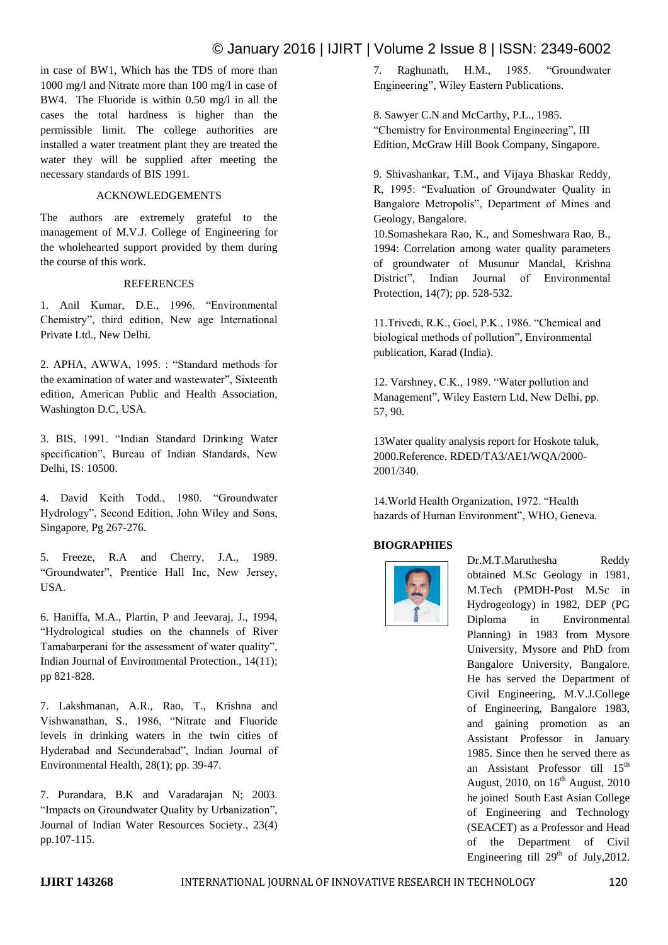## © January 2016 | IJIRT | Volume 2 Issue 8 | ISSN: 2349-6002

in case of BW1, Which has the TDS of more than 1000 mg/l and Nitrate more than 100 mg/l in case of BW4. The Fluoride is within 0.50 mg/l in all the cases the total hardness is higher than the permissible limit. The college authorities are installed a water treatment plant they are treated the water they will be supplied after meeting the necessary standards of BIS 1991.

#### ACKNOWLEDGEMENTS

The authors are extremely grateful to the management of M.V.J. College of Engineering for the wholehearted support provided by them during the course of this work.

#### **REFERENCES**

1. Anil Kumar, D.E., 1996. "Environmental Chemistry", third edition, New age International Private Ltd., New Delhi.

2. APHA, AWWA, 1995. : "Standard methods for the examination of water and wastewater", Sixteenth edition, American Public and Health Association, Washington D.C, USA.

3. BIS, 1991. "Indian Standard Drinking Water specification", Bureau of Indian Standards, New Delhi, IS: 10500.

4. David Keith Todd., 1980. "Groundwater Hydrology", Second Edition, John Wiley and Sons, Singapore, Pg 267-276.

5. Freeze, R.A and Cherry, J.A., 1989. "Groundwater", Prentice Hall Inc, New Jersey, USA.

6. Haniffa, M.A., Plartin, P and Jeevaraj, J., 1994, "Hydrological studies on the channels of River Tamabarperani for the assessment of water quality", Indian Journal of Environmental Protection., 14(11); pp 821-828.

7. Lakshmanan, A.R., Rao, T., Krishna and Vishwanathan, S., 1986, "Nitrate and Fluoride levels in drinking waters in the twin cities of Hyderabad and Secunderabad", Indian Journal of Environmental Health, 28(1); pp. 39-47.

7. Purandara, B.K and Varadarajan N; 2003. "Impacts on Groundwater Quality by Urbanization", Journal of Indian Water Resources Society., 23(4) pp.107-115.

7. Raghunath, H.M., 1985. "Groundwater Engineering", Wiley Eastern Publications.

8. Sawyer C.N and McCarthy, P.L., 1985. "Chemistry for Environmental Engineering", III Edition, McGraw Hill Book Company, Singapore.

9. Shivashankar, T.M., and Vijaya Bhaskar Reddy, R, 1995: "Evaluation of Groundwater Quality in Bangalore Metropolis", Department of Mines and Geology, Bangalore.

10.Somashekara Rao, K., and Someshwara Rao, B., 1994: Correlation among water quality parameters of groundwater of Musunur Mandal, Krishna District", Indian Journal of Environmental Protection, 14(7); pp. 528-532.

11.Trivedi, R.K., Goel, P.K., 1986. "Chemical and biological methods of pollution", Environmental publication, Karad (India).

12. Varshney, C.K., 1989. "Water pollution and Management", Wiley Eastern Ltd, New Delhi, pp. 57, 90.

13Water quality analysis report for Hoskote taluk, 2000.Reference. RDED/TA3/AE1/WQA/2000- 2001/340.

14.World Health Organization, 1972. "Health hazards of Human Environment", WHO, Geneva.

### **BIOGRAPHIES**



Dr.M.T.Maruthesha Reddy obtained M.Sc Geology in 1981, M.Tech (PMDH-Post M.Sc in Hydrogeology) in 1982, DEP (PG Diploma in Environmental Planning) in 1983 from Mysore University, Mysore and PhD from Bangalore University, Bangalore. He has served the Department of Civil Engineering, M.V.J.College of Engineering, Bangalore 1983, and gaining promotion as an Assistant Professor in January 1985. Since then he served there as an Assistant Professor till 15<sup>th</sup> August, 2010, on  $16<sup>th</sup>$  August, 2010 he joined South East Asian College of Engineering and Technology (SEACET) as a Professor and Head of the Department of Civil Engineering till  $29<sup>th</sup>$  of July, 2012.